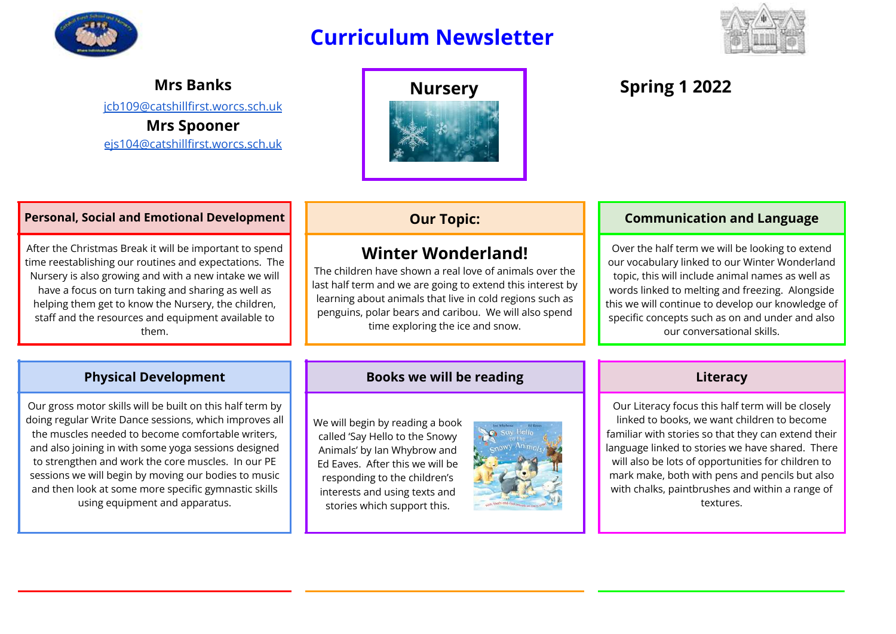

# **Curriculum Newsletter**



**Mrs Banks** [jcb109@catshillfirst.worcs.sch.uk](mailto:jcb109@catshillfirst.worcs.sch.uk) **Mrs Spooner**

[ejs104@catshillfirst.worcs.sch.uk](mailto:ejs104@catshillfirst.worcs.sch.uk)



### **Personal, Social and Emotional Development Queener and Conventions Communication and Language**

After the Christmas Break it will be important to spend time reestablishing our routines and expectations. The Nursery is also growing and with a new intake we will have a focus on turn taking and sharing as well as helping them get to know the Nursery, the children, staff and the resources and equipment available to them.

## **Winter Wonderland!**

The children have shown a real love of animals over the last half term and we are going to extend this interest by learning about animals that live in cold regions such as penguins, polar bears and caribou. We will also spend time exploring the ice and snow.

Over the half term we will be looking to extend our vocabulary linked to our Winter Wonderland topic, this will include animal names as well as words linked to melting and freezing. Alongside this we will continue to develop our knowledge of specific concepts such as on and under and also our conversational skills.

Our gross motor skills will be built on this half term by doing regular Write Dance sessions, which improves all the muscles needed to become comfortable writers, and also joining in with some yoga sessions designed to strengthen and work the core muscles. In our PE sessions we will begin by moving our bodies to music and then look at some more specific gymnastic skills using equipment and apparatus.

### **Physical Development Books we will be reading Literacy**

We will begin by reading a book called 'Say Hello to the Snowy Animals' by Ian Whybrow and Ed Eaves. After this we will be responding to the children's interests and using texts and stories which support this.



Our Literacy focus this half term will be closely linked to books, we want children to become familiar with stories so that they can extend their language linked to stories we have shared. There will also be lots of opportunities for children to mark make, both with pens and pencils but also with chalks, paintbrushes and within a range of textures.